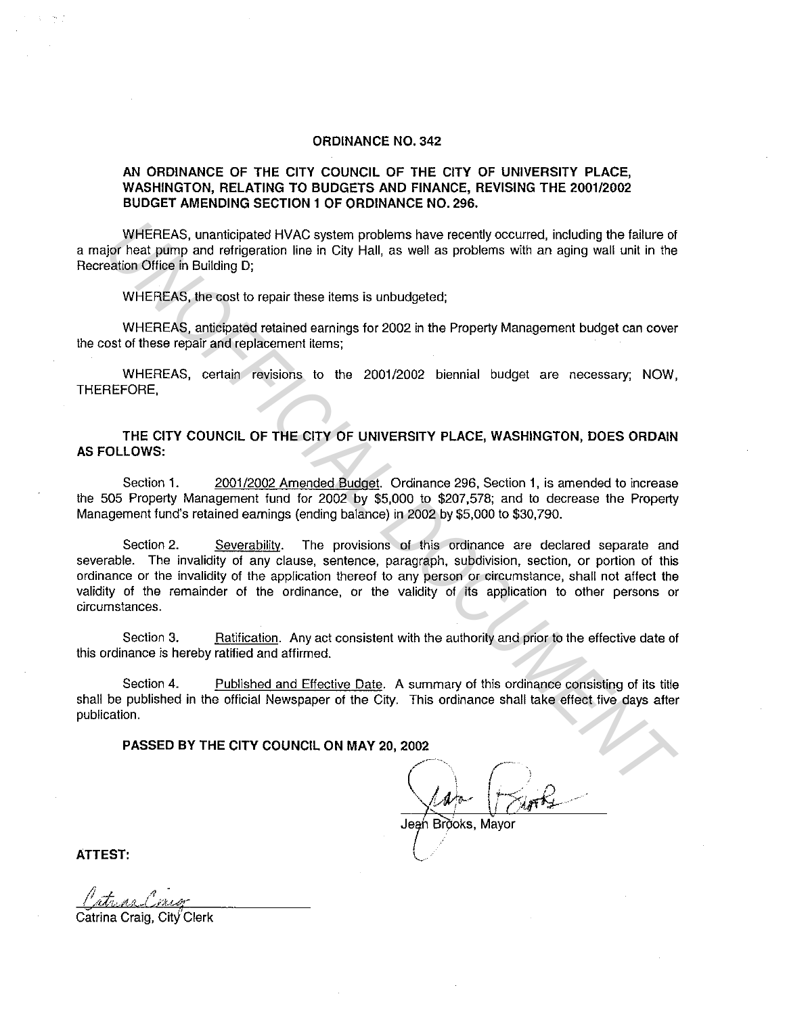## ORDINANCE NO. 342

## AN ORDINANCE OF THE CITY COUNCIL OF THE CITY OF UNIVERSITY PLACE, WASHINGTON, RELATING TO BUDGETS AND FINANCE, REVISING THE 2001/2002 BUDGET AMENDING SECTION 1 OF ORDINANCE NO. 296.

WHEREAS, unanticipated HVAC system problems have recently occurred, including the failure of a major heat pump and refrigeration line in City Hall, as well as problems with an aging wall unit in the Recreation Office in Building D;

WHEREAS, the cost to repair these items is unbudgeted;

WHEREAS, anticipated retained earnings for 2002 in the Property Management budget can cover the cost of these repair and replacement items;

WHEREAS, certain revisions to the 2001/2002 biennial budget are necessary; NOW, THEREFORE,

THE CITY COUNCIL OF THE CITY OF UNIVERSITY PLACE, WASHINGTON, DOES ORDAIN AS FOLLOWS:

Section 1. 2001/2002 Amended Budget. Ordinance 296, Section 1, is amended to increase the 505 Property Management fund for 2002 by \$5,000 to \$207,578; and to decrease the Property Management fund's retained earnings {ending balance) in 2002 by \$5,000 to \$30,790.

Section 2. Severability. The provisions of this ordinance are declared separate and severable. The invalidity of any clause, sentence, paragraph, subdivision, section, or portion of this ordinance or the invalidity of the application thereof to any person or circumstance, shall not affect the validity of the remainder of the ordinance, or the validity of its application to other persons or circumstances. WHEREAS, unanticipated HVAC system problems have recently occurred, including the failure of<br>
prior basis plump and origing ation line in City Hall, as well as problems with an aging wall unit in the<br>
origins) Office in Bu

Section 3. Ratification. Any act consistent with the authority and prior to the effective date of this ordinance is hereby ratified and affirmed.

Section 4. Published and Effective Date. A summary of this ordinance consisting of its title shall be published in the official Newspaper of the City. This ordinance shall take effect five days after publication.

PASSED BY THE CITY COUNCIL ON MAY 20, 2002

/·-· .....  $Q_{\text{air}}$   $f_{\text{x}}$ 

Jeah Brìoks, Mavor.

ATTEST: \\_ ·

Catrina Craig, City Clerk